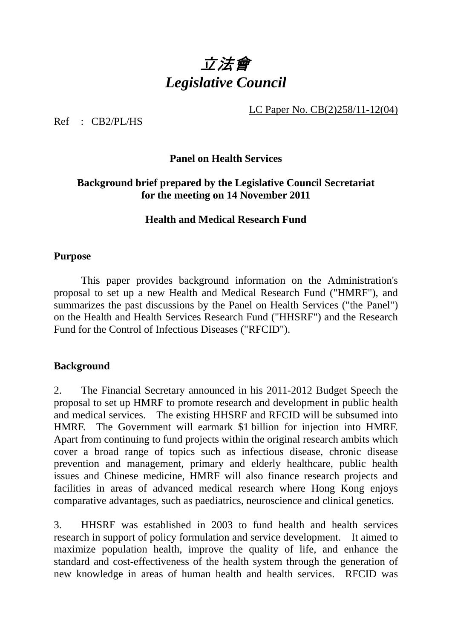# 立法會 *Legislative Council*

LC Paper No. CB(2)258/11-12(04)

Ref : CB2/PL/HS

## **Panel on Health Services**

## **Background brief prepared by the Legislative Council Secretariat for the meeting on 14 November 2011**

## **Health and Medical Research Fund**

#### **Purpose**

 This paper provides background information on the Administration's proposal to set up a new Health and Medical Research Fund ("HMRF"), and summarizes the past discussions by the Panel on Health Services ("the Panel") on the Health and Health Services Research Fund ("HHSRF") and the Research Fund for the Control of Infectious Diseases ("RFCID").

## **Background**

2. The Financial Secretary announced in his 2011-2012 Budget Speech the proposal to set up HMRF to promote research and development in public health and medical services. The existing HHSRF and RFCID will be subsumed into HMRF. The Government will earmark \$1 billion for injection into HMRF. Apart from continuing to fund projects within the original research ambits which cover a broad range of topics such as infectious disease, chronic disease prevention and management, primary and elderly healthcare, public health issues and Chinese medicine, HMRF will also finance research projects and facilities in areas of advanced medical research where Hong Kong enjoys comparative advantages, such as paediatrics, neuroscience and clinical genetics.

3. HHSRF was established in 2003 to fund health and health services research in support of policy formulation and service development. It aimed to maximize population health, improve the quality of life, and enhance the standard and cost-effectiveness of the health system through the generation of new knowledge in areas of human health and health services. RFCID was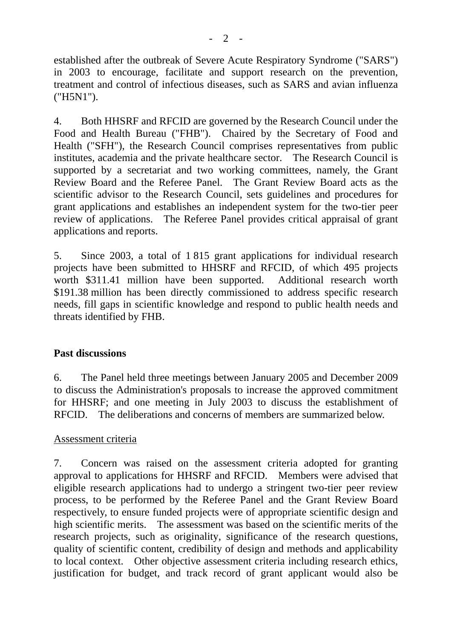established after the outbreak of Severe Acute Respiratory Syndrome ("SARS") in 2003 to encourage, facilitate and support research on the prevention, treatment and control of infectious diseases, such as SARS and avian influenza ("H5N1").

4. Both HHSRF and RFCID are governed by the Research Council under the Food and Health Bureau ("FHB"). Chaired by the Secretary of Food and Health ("SFH"), the Research Council comprises representatives from public institutes, academia and the private healthcare sector. The Research Council is supported by a secretariat and two working committees, namely, the Grant Review Board and the Referee Panel. The Grant Review Board acts as the scientific advisor to the Research Council, sets guidelines and procedures for grant applications and establishes an independent system for the two-tier peer review of applications. The Referee Panel provides critical appraisal of grant applications and reports.

5. Since 2003, a total of 1 815 grant applications for individual research projects have been submitted to HHSRF and RFCID, of which 495 projects worth \$311.41 million have been supported. Additional research worth \$191.38 million has been directly commissioned to address specific research needs, fill gaps in scientific knowledge and respond to public health needs and threats identified by FHB.

## **Past discussions**

6. The Panel held three meetings between January 2005 and December 2009 to discuss the Administration's proposals to increase the approved commitment for HHSRF; and one meeting in July 2003 to discuss the establishment of RFCID. The deliberations and concerns of members are summarized below.

## Assessment criteria

7. Concern was raised on the assessment criteria adopted for granting approval to applications for HHSRF and RFCID. Members were advised that eligible research applications had to undergo a stringent two-tier peer review process, to be performed by the Referee Panel and the Grant Review Board respectively, to ensure funded projects were of appropriate scientific design and high scientific merits. The assessment was based on the scientific merits of the research projects, such as originality, significance of the research questions, quality of scientific content, credibility of design and methods and applicability to local context. Other objective assessment criteria including research ethics, justification for budget, and track record of grant applicant would also be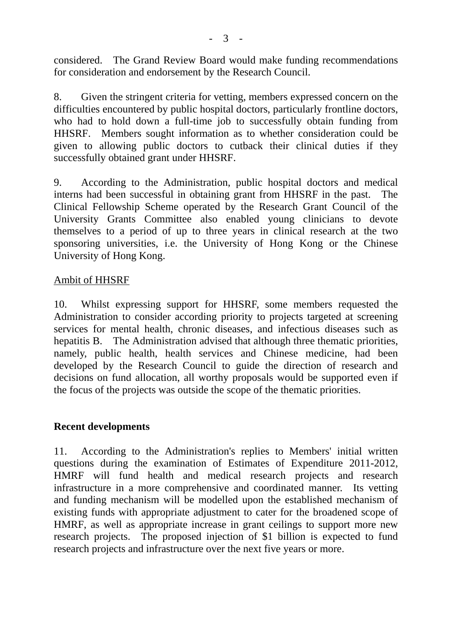considered. The Grand Review Board would make funding recommendations for consideration and endorsement by the Research Council.

8. Given the stringent criteria for vetting, members expressed concern on the difficulties encountered by public hospital doctors, particularly frontline doctors, who had to hold down a full-time job to successfully obtain funding from HHSRF. Members sought information as to whether consideration could be given to allowing public doctors to cutback their clinical duties if they successfully obtained grant under HHSRF.

9. According to the Administration, public hospital doctors and medical interns had been successful in obtaining grant from HHSRF in the past. The Clinical Fellowship Scheme operated by the Research Grant Council of the University Grants Committee also enabled young clinicians to devote themselves to a period of up to three years in clinical research at the two sponsoring universities, i.e. the University of Hong Kong or the Chinese University of Hong Kong.

## Ambit of HHSRF

10. Whilst expressing support for HHSRF, some members requested the Administration to consider according priority to projects targeted at screening services for mental health, chronic diseases, and infectious diseases such as hepatitis B. The Administration advised that although three thematic priorities, namely, public health, health services and Chinese medicine, had been developed by the Research Council to guide the direction of research and decisions on fund allocation, all worthy proposals would be supported even if the focus of the projects was outside the scope of the thematic priorities.

## **Recent developments**

11. According to the Administration's replies to Members' initial written questions during the examination of Estimates of Expenditure 2011-2012, HMRF will fund health and medical research projects and research infrastructure in a more comprehensive and coordinated manner. Its vetting and funding mechanism will be modelled upon the established mechanism of existing funds with appropriate adjustment to cater for the broadened scope of HMRF, as well as appropriate increase in grant ceilings to support more new research projects. The proposed injection of \$1 billion is expected to fund research projects and infrastructure over the next five years or more.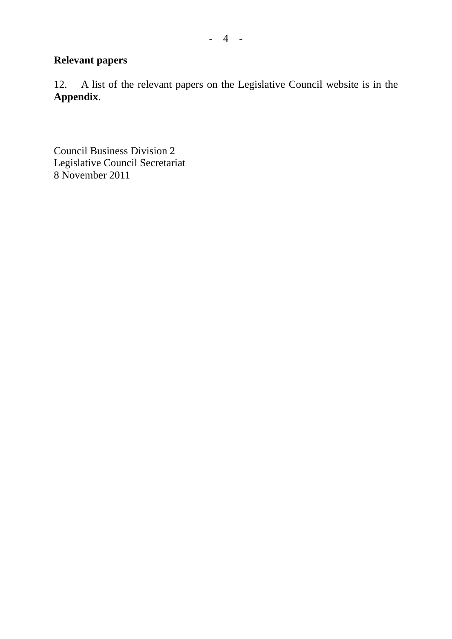## **Relevant papers**

12. A list of the relevant papers on the Legislative Council website is in the **Appendix**.

Council Business Division 2 Legislative Council Secretariat 8 November 2011